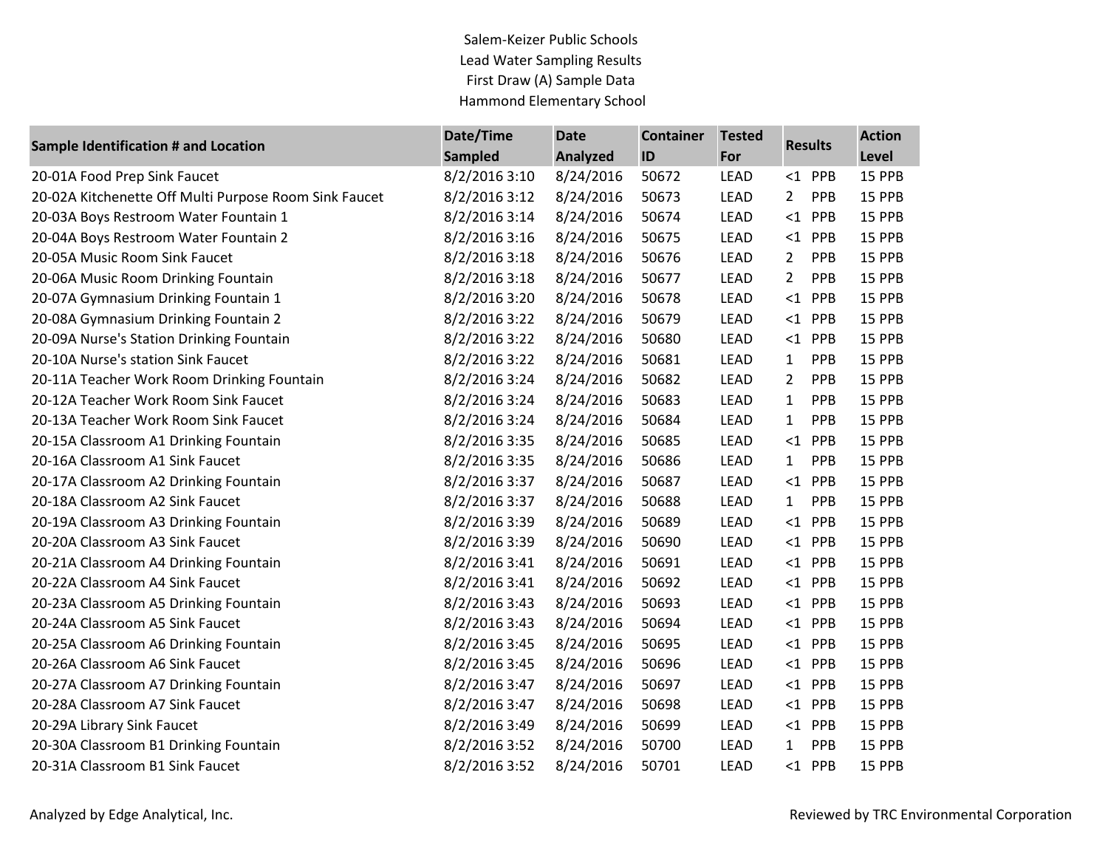Salem-Keizer Public Schools Lead Water Sampling Results First Draw (A) Sample Data Hammond Elementary School

| Sample Identification # and Location                  | Date/Time      | <b>Date</b>     | <b>Container</b> | <b>Tested</b> |                |           | <b>Action</b> |
|-------------------------------------------------------|----------------|-----------------|------------------|---------------|----------------|-----------|---------------|
|                                                       | <b>Sampled</b> | <b>Analyzed</b> | ID               | For           | <b>Results</b> |           | Level         |
| 20-01A Food Prep Sink Faucet                          | 8/2/2016 3:10  | 8/24/2016       | 50672            | <b>LEAD</b>   |                | $<$ 1 PPB | 15 PPB        |
| 20-02A Kitchenette Off Multi Purpose Room Sink Faucet | 8/2/2016 3:12  | 8/24/2016       | 50673            | <b>LEAD</b>   | $\overline{2}$ | PPB       | 15 PPB        |
| 20-03A Boys Restroom Water Fountain 1                 | 8/2/2016 3:14  | 8/24/2016       | 50674            | <b>LEAD</b>   |                | $<1$ PPB  | 15 PPB        |
| 20-04A Boys Restroom Water Fountain 2                 | 8/2/2016 3:16  | 8/24/2016       | 50675            | LEAD          | $<$ 1          | PPB       | 15 PPB        |
| 20-05A Music Room Sink Faucet                         | 8/2/2016 3:18  | 8/24/2016       | 50676            | LEAD          | $\overline{2}$ | PPB       | 15 PPB        |
| 20-06A Music Room Drinking Fountain                   | 8/2/2016 3:18  | 8/24/2016       | 50677            | LEAD          | $\overline{2}$ | PPB       | 15 PPB        |
| 20-07A Gymnasium Drinking Fountain 1                  | 8/2/2016 3:20  | 8/24/2016       | 50678            | <b>LEAD</b>   | $\leq$ 1       | PPB       | 15 PPB        |
| 20-08A Gymnasium Drinking Fountain 2                  | 8/2/2016 3:22  | 8/24/2016       | 50679            | LEAD          |                | $<$ 1 PPB | 15 PPB        |
| 20-09A Nurse's Station Drinking Fountain              | 8/2/2016 3:22  | 8/24/2016       | 50680            | LEAD          |                | $<1$ PPB  | 15 PPB        |
| 20-10A Nurse's station Sink Faucet                    | 8/2/2016 3:22  | 8/24/2016       | 50681            | LEAD          | $\mathbf{1}$   | PPB       | 15 PPB        |
| 20-11A Teacher Work Room Drinking Fountain            | 8/2/2016 3:24  | 8/24/2016       | 50682            | LEAD          | 2              | PPB       | 15 PPB        |
| 20-12A Teacher Work Room Sink Faucet                  | 8/2/2016 3:24  | 8/24/2016       | 50683            | <b>LEAD</b>   | 1              | PPB       | 15 PPB        |
| 20-13A Teacher Work Room Sink Faucet                  | 8/2/2016 3:24  | 8/24/2016       | 50684            | <b>LEAD</b>   | 1              | PPB       | 15 PPB        |
| 20-15A Classroom A1 Drinking Fountain                 | 8/2/2016 3:35  | 8/24/2016       | 50685            | <b>LEAD</b>   | $\leq$ 1       | PPB       | 15 PPB        |
| 20-16A Classroom A1 Sink Faucet                       | 8/2/2016 3:35  | 8/24/2016       | 50686            | <b>LEAD</b>   | $\mathbf{1}$   | PPB       | 15 PPB        |
| 20-17A Classroom A2 Drinking Fountain                 | 8/2/2016 3:37  | 8/24/2016       | 50687            | <b>LEAD</b>   | $\leq$ 1       | PPB       | 15 PPB        |
| 20-18A Classroom A2 Sink Faucet                       | 8/2/2016 3:37  | 8/24/2016       | 50688            | LEAD          | $\mathbf{1}$   | PPB       | 15 PPB        |
| 20-19A Classroom A3 Drinking Fountain                 | 8/2/2016 3:39  | 8/24/2016       | 50689            | <b>LEAD</b>   |                | $<$ 1 PPB | 15 PPB        |
| 20-20A Classroom A3 Sink Faucet                       | 8/2/2016 3:39  | 8/24/2016       | 50690            | LEAD          |                | $<1$ PPB  | 15 PPB        |
| 20-21A Classroom A4 Drinking Fountain                 | 8/2/2016 3:41  | 8/24/2016       | 50691            | <b>LEAD</b>   |                | $<1$ PPB  | 15 PPB        |
| 20-22A Classroom A4 Sink Faucet                       | 8/2/2016 3:41  | 8/24/2016       | 50692            | LEAD          |                | $<1$ PPB  | 15 PPB        |
| 20-23A Classroom A5 Drinking Fountain                 | 8/2/2016 3:43  | 8/24/2016       | 50693            | LEAD          |                | $<1$ PPB  | 15 PPB        |
| 20-24A Classroom A5 Sink Faucet                       | 8/2/2016 3:43  | 8/24/2016       | 50694            | LEAD          |                | $<$ 1 PPB | 15 PPB        |
| 20-25A Classroom A6 Drinking Fountain                 | 8/2/2016 3:45  | 8/24/2016       | 50695            | <b>LEAD</b>   |                | $<1$ PPB  | 15 PPB        |
| 20-26A Classroom A6 Sink Faucet                       | 8/2/2016 3:45  | 8/24/2016       | 50696            | LEAD          |                | $<$ 1 PPB | 15 PPB        |
| 20-27A Classroom A7 Drinking Fountain                 | 8/2/2016 3:47  | 8/24/2016       | 50697            | <b>LEAD</b>   |                | $<1$ PPB  | 15 PPB        |
| 20-28A Classroom A7 Sink Faucet                       | 8/2/2016 3:47  | 8/24/2016       | 50698            | LEAD          |                | $<1$ PPB  | 15 PPB        |
| 20-29A Library Sink Faucet                            | 8/2/2016 3:49  | 8/24/2016       | 50699            | <b>LEAD</b>   |                | $<$ 1 PPB | 15 PPB        |
| 20-30A Classroom B1 Drinking Fountain                 | 8/2/2016 3:52  | 8/24/2016       | 50700            | LEAD          | $\mathbf{1}$   | PPB       | 15 PPB        |
| 20-31A Classroom B1 Sink Faucet                       | 8/2/2016 3:52  | 8/24/2016       | 50701            | <b>LEAD</b>   |                | $<1$ PPB  | 15 PPB        |